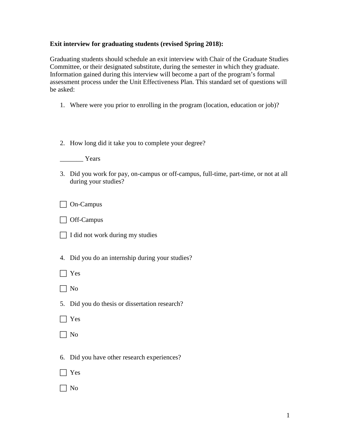## **Exit interview for graduating students (revised Spring 2018):**

Graduating students should schedule an exit interview with Chair of the Graduate Studies Committee, or their designated substitute, during the semester in which they graduate. Information gained during this interview will become a part of the program's formal assessment process under the Unit Effectiveness Plan. This standard set of questions will be asked:

- 1. Where were you prior to enrolling in the program (location, education or job)?
- 2. How long did it take you to complete your degree?

\_\_\_\_\_\_\_ Years

3. Did you work for pay, on-campus or off-campus, full-time, part-time, or not at all during your studies?

On-Campus

□ Off-Campus

- I did not work during my studies
- 4. Did you do an internship during your studies?
- Yes
- $\Box$  No
- 5. Did you do thesis or dissertation research?
- $\Box$  Yes
- $\Box$  No
- 6. Did you have other research experiences?
- $\Box$  Yes
- $\Box$  No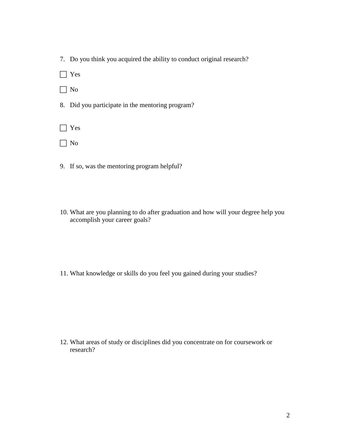|  |  | 7. Do you think you acquired the ability to conduct original research? |  |  |
|--|--|------------------------------------------------------------------------|--|--|

Yes

- □ No
- 8. Did you participate in the mentoring program?

Yes

- $\Box$  No
- 9. If so, was the mentoring program helpful?
- 10. What are you planning to do after graduation and how will your degree help you accomplish your career goals?

11. What knowledge or skills do you feel you gained during your studies?

12. What areas of study or disciplines did you concentrate on for coursework or research?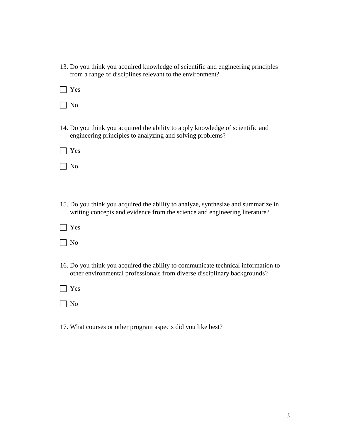| 13. Do you think you acquired knowledge of scientific and engineering principles |  |
|----------------------------------------------------------------------------------|--|
| from a range of disciplines relevant to the environment?                         |  |

 $\Box$  Yes

| ۰,<br>× |
|---------|
|---------|

14. Do you think you acquired the ability to apply knowledge of scientific and engineering principles to analyzing and solving problems?

| ۰.<br>.,<br>×<br>o m |
|----------------------|
|----------------------|

 $\Box$  No

- 15. Do you think you acquired the ability to analyze, synthesize and summarize in writing concepts and evidence from the science and engineering literature?
- $\Box$  Yes

 $\Box$  No

- 16. Do you think you acquired the ability to communicate technical information to other environmental professionals from diverse disciplinary backgrounds?
- Yes

 $\Box$  No

17. What courses or other program aspects did you like best?